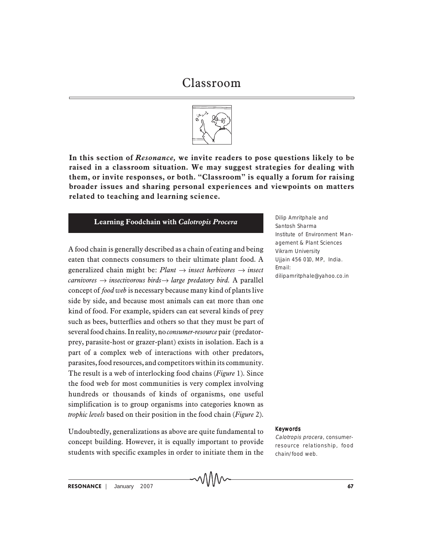

**In this section of** *Resonance,* **we invite readers to pose questions likely to be raised in a classroom situation. We may suggest strategies for dealing with them, or invite responses, or both. "Classroom" is equally a forum for raising broader issues and sharing personal experiences and viewpoints on matters related to teaching and learning science.**

# **Learning Foodchain with** *Calotropis Procera* Dilip Amritphale and

A food chain is generally described as a chain of eating and being eaten that connects consumers to their ultimate plant food. A generalized chain might be:  $Plant \rightarrow insect \ herbivores \rightarrow insect$ *carnivores* → *insectivorous birds*→ *large predatory bird.* A parallel concept of *food web* is necessary because many kind of plants live side by side, and because most animals can eat more than one kind of food. For example, spiders can eat several kinds of prey such as bees, butterflies and others so that they must be part of several food chains. In reality, no *consumer-resource* pair (predatorprey, parasite-host or grazer-plant) exists in isolation. Each is a part of a complex web of interactions with other predators, parasites, food resources, and competitors within its community. The result is a web of interlocking food chains (*Figure* 1). Since the food web for most communities is very complex involving hundreds or thousands of kinds of organisms, one useful simplification is to group organisms into categories known as *trophic levels* based on their position in the food chain (*Figure* 2).

Undoubtedly, generalizations as above are quite fundamental to concept building. However, it is equally important to provide students with specific examples in order to initiate them in the Santosh Sharma Institute of Environment Management & Plant Sciences Vikram University Ujjain 456 010, MP, India. Email: dilipamritphale@yahoo.co.in

#### Keywords

Calotropis procera, consumerresource relationship, food chain/food web.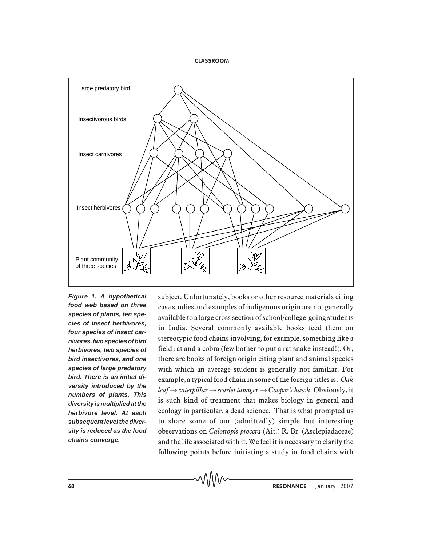

*Figure 1. A hypothetical food web based on three species of plants, ten species of insect herbivores, four species of insect carnivores, two species of bird herbivores, two species of bird insectivores, and one species of large predatory bird. There is an initial diversity introduced by the numbers of plants. This diversity is multiplied at the herbivore level. At each subsequent level the diversity is reduced as the food chains converge.*

subject. Unfortunately, books or other resource materials citing case studies and examples of indigenous origin are not generally available to a large cross section of school/college-going students in India. Several commonly available books feed them on stereotypic food chains involving, for example, something like a field rat and a cobra (few bother to put a rat snake instead!). Or, there are books of foreign origin citing plant and animal species with which an average student is generally not familiar. For example, a typical food chain in some of the foreign titles is: *Oak leaf* → *caterpillar* → *scarlet tanager* → *Cooper's hawk*. Obviously, it is such kind of treatment that makes biology in general and ecology in particular, a dead science. That is what prompted us to share some of our (admittedly) simple but interesting observations on *Calotropis procera* (Ait.) R. Br. (Asclepiadaceae) and the life associated with it. We feel it is necessary to clarify the following points before initiating a study in food chains with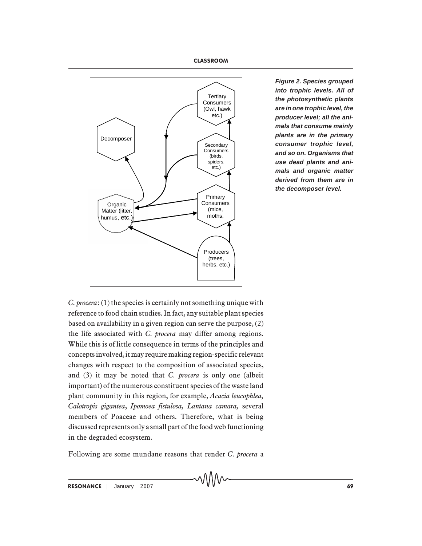

*Figure 2. Species grouped into trophic levels. All of the photosynthetic plants are in one trophic level, the producer level; all the animals that consume mainly plants are in the primary consumer trophic level, and so on. Organisms that use dead plants and animals and organic matter derived from them are in the decomposer level.*

*C. procera*: (1) the species is certainly not something unique with reference to food chain studies. In fact, any suitable plant species based on availability in a given region can serve the purpose, (2) the life associated with *C. procera* may differ among regions. While this is of little consequence in terms of the principles and concepts involved, it may require making region-specific relevant changes with respect to the composition of associated species, and (3) it may be noted that *C. procera* is only one (albeit important) of the numerous constituent species of the waste land plant community in this region, for example, *Acacia leucophlea, Calotropis gigantea*, *Ipomoea fistulosa, Lantana camara,* several members of Poaceae and others. Therefore, what is being discussed represents only a small part of the food web functioning in the degraded ecosystem.

Following are some mundane reasons that render *C. procera* a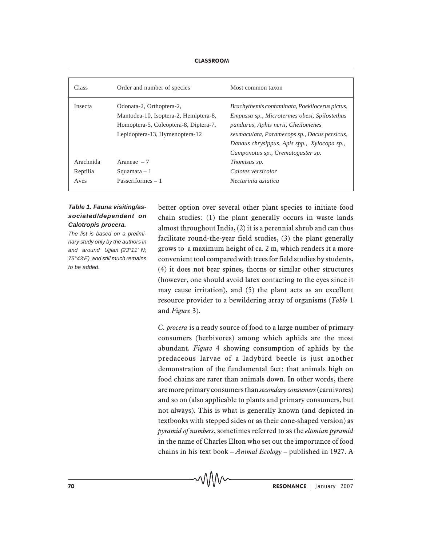| <b>Class</b> | Order and number of species           | Most common taxon                              |
|--------------|---------------------------------------|------------------------------------------------|
| Insecta      | Odonata-2, Orthoptera-2,              | Brachythemis contaminata, Poekilocerus pictus, |
|              | Mantodea-10, Isoptera-2, Hemiptera-8, | Empussa sp., Microtermes obesi, Spilostethus   |
|              | Homoptera-5, Coleoptera-8, Diptera-7, | pandurus, Aphis nerii, Cheilomenes             |
|              | Lepidoptera-13, Hymenoptera-12        | sexmaculata, Paramecops sp., Dacus persicus,   |
|              |                                       | Danaus chrysippus, Apis spp., Xylocopa sp.,    |
|              |                                       | Camponotus sp., Crematogaster sp.              |
| Arachnida    | Araneae $-7$                          | <i>Thomisus sp.</i>                            |
| Reptilia     | $Squamata - 1$                        | Calotes versicolor                             |
| Aves         | Passeriformes $-1$                    | Nectarinia asiatica                            |

# *Table 1. Fauna visiting/associated/dependent on Calotropis procera.*

*The list is based on a preliminary study only by the authors in and around Ujjian (23°11' N; 75°43'E) and still much remains to be added.*

better option over several other plant species to initiate food chain studies: (1) the plant generally occurs in waste lands almost throughout India, (2) it is a perennial shrub and can thus facilitate round-the-year field studies, (3) the plant generally grows to a maximum height of ca. 2 m, which renders it a more convenient tool compared with trees for field studies by students, (4) it does not bear spines, thorns or similar other structures (however, one should avoid latex contacting to the eyes since it may cause irritation), and (5) the plant acts as an excellent resource provider to a bewildering array of organisms (*Table* 1 and *Figure* 3).

*C. procera* is a ready source of food to a large number of primary consumers (herbivores) among which aphids are the most abundant. *Figure* 4 showing consumption of aphids by the predaceous larvae of a ladybird beetle is just another demonstration of the fundamental fact: that animals high on food chains are rarer than animals down. In other words, there are more primary consumers than *secondary consumers* (carnivores) and so on (also applicable to plants and primary consumers, but not always). This is what is generally known (and depicted in textbooks with stepped sides or as their cone-shaped version) as *pyramid of numbers*, sometimes referred to as the *eltonian pyramid* in the name of Charles Elton who set out the importance of food chains in his text book – *Animal Ecology* – published in 1927. A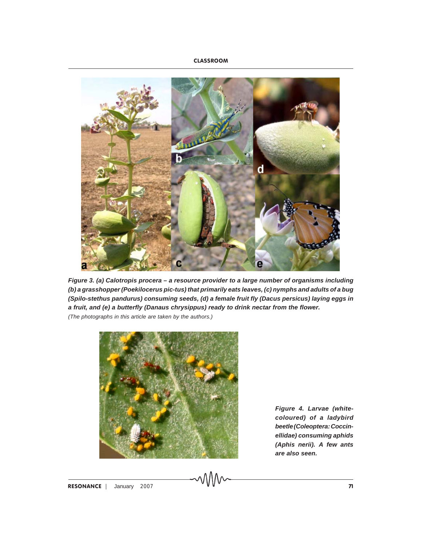

*Figure 3. (a) Calotropis procera – a resource provider to a large number of organisms including (b) a grasshopper (Poekilocerus pic-tus) that primarily eats leaves, (c) nymphs and adults of a bug (Spilo-stethus pandurus) consuming seeds, (d) a female fruit fly (Dacus persicus) laying eggs in a fruit, and (e) a butterfly (Danaus chrysippus) ready to drink nectar from the flower. (The photographs in this article are taken by the authors.)*



*Figure 4. Larvae (whitecoloured) of a ladybird beetle (Coleoptera: Coccinellidae) consuming aphids (Aphis nerii). A few ants are also seen.*

RESONANCE  $\vert$  January 2007  $\sim$  MM $\sim$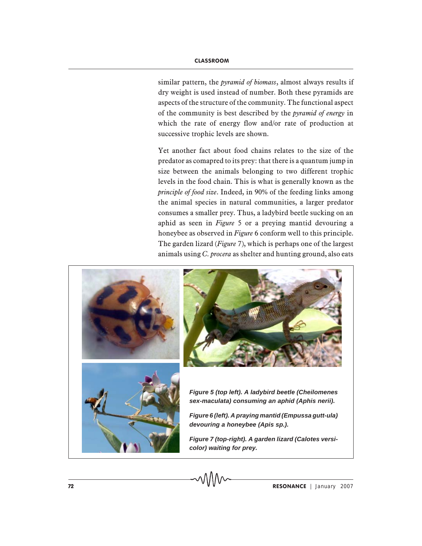similar pattern, the *pyramid of biomass*, almost always results if dry weight is used instead of number. Both these pyramids are aspects of the structure of the community. The functional aspect of the community is best described by the *pyramid of energy* in which the rate of energy flow and/or rate of production at successive trophic levels are shown.

Yet another fact about food chains relates to the size of the predator as comapred to its prey: that there is a quantum jump in size between the animals belonging to two different trophic levels in the food chain. This is what is generally known as the *principle of food size*. Indeed, in 90% of the feeding links among the animal species in natural communities, a larger predator consumes a smaller prey. Thus, a ladybird beetle sucking on an aphid as seen in *Figure* 5 or a preying mantid devouring a honeybee as observed in *Figure* 6 conform well to this principle. The garden lizard (*Figure* 7), which is perhaps one of the largest animals using *C. procera* as shelter and hunting ground, also eats

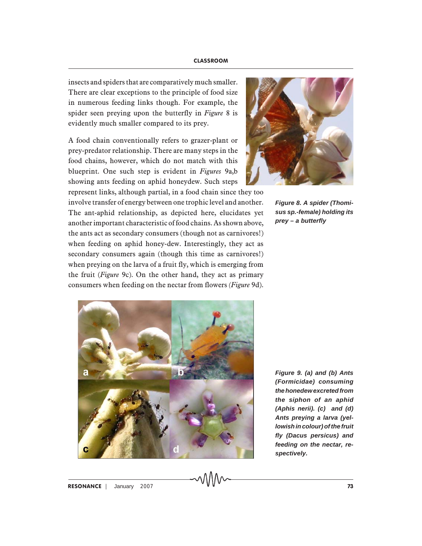insects and spiders that are comparatively much smaller. There are clear exceptions to the principle of food size in numerous feeding links though. For example, the spider seen preying upon the butterfly in *Figure* 8 is evidently much smaller compared to its prey.

A food chain conventionally refers to grazer-plant or prey-predator relationship. There are many steps in the food chains, however, which do not match with this blueprint. One such step is evident in *Figures* 9a,b showing ants feeding on aphid honeydew. Such steps

represent links, although partial, in a food chain since they too involve transfer of energy between one trophic level and another. The ant-aphid relationship, as depicted here, elucidates yet another important characteristic of food chains. As shown above, the ants act as secondary consumers (though not as carnivores!) when feeding on aphid honey-dew. Interestingly, they act as secondary consumers again (though this time as carnivores!) when preying on the larva of a fruit fly, which is emerging from the fruit (*Figure* 9c). On the other hand, they act as primary consumers when feeding on the nectar from flowers *(Figure* 9d).



*Figure 8. A spider (Thomisus sp.-female) holding its prey – a butterfly*



*Figure 9. (a) and (b) Ants (Formicidae) consuming the honedew excreted from the siphon of an aphid (Aphis nerii). (c) and (d) Ants preying a larva (yellowish in colour) of the fruit fly (Dacus persicus) and feeding on the nectar, respectively.*

RESONANCE | January 2007 **73**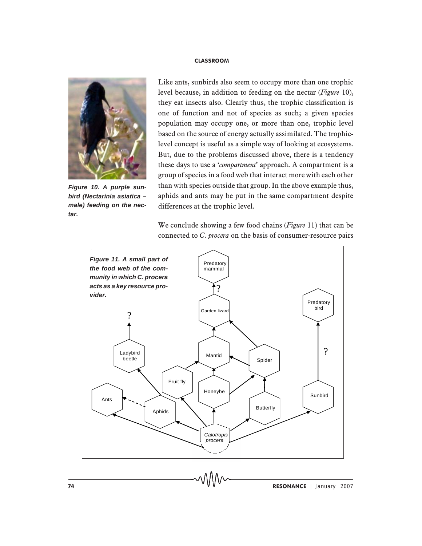

*Figure 10. A purple sunbird (Nectarinia asiatica – male) feeding on the nectar.*

Like ants, sunbirds also seem to occupy more than one trophic level because, in addition to feeding on the nectar (*Figure* 10), they eat insects also. Clearly thus, the trophic classification is one of function and not of species as such; a given species population may occupy one, or more than one, trophic level based on the source of energy actually assimilated. The trophiclevel concept is useful as a simple way of looking at ecosystems. But, due to the problems discussed above, there is a tendency these days to use a '*compartment*' approach. A compartment is a group of species in a food web that interact more with each other than with species outside that group. In the above example thus, aphids and ants may be put in the same compartment despite differences at the trophic level.

We conclude showing a few food chains (*Figure* 11) that can be connected to *C. procera* on the basis of consumer-resource pairs